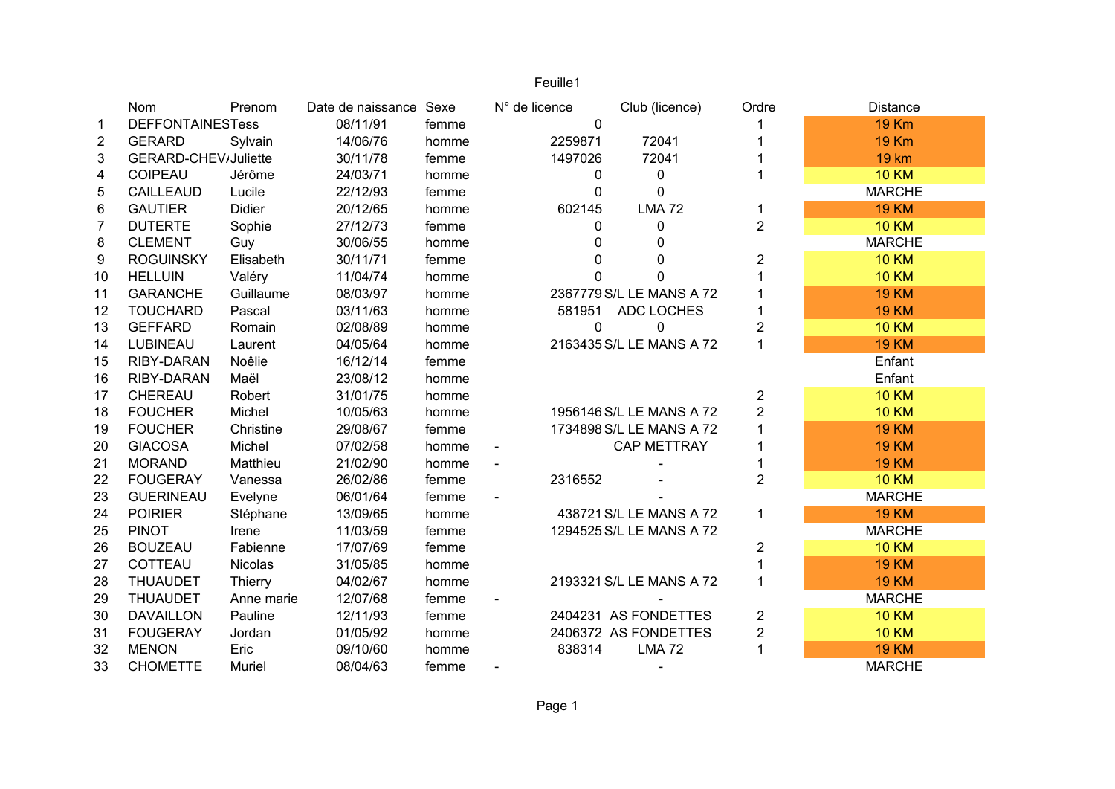|                |                         | Feuille1   |                        |       |               |                          |                         |                 |
|----------------|-------------------------|------------|------------------------|-------|---------------|--------------------------|-------------------------|-----------------|
|                | Nom                     | Prenom     | Date de naissance Sexe |       | N° de licence | Club (licence)           | Ordre                   | <b>Distance</b> |
| $\mathbf 1$    | <b>DEFFONTAINESTess</b> |            | 08/11/91               | femme | $\mathbf 0$   |                          |                         | <b>19 Km</b>    |
| $\overline{c}$ | <b>GERARD</b>           | Sylvain    | 14/06/76               | homme | 2259871       | 72041                    |                         | <b>19 Km</b>    |
| 3              | GERARD-CHEV/Juliette    |            | 30/11/78               | femme | 1497026       | 72041                    |                         | <b>19 km</b>    |
| 4              | COIPEAU                 | Jérôme     | 24/03/71               | homme | 0             | 0                        |                         | <b>10 KM</b>    |
| 5              | CAILLEAUD               | Lucile     | 22/12/93               | femme | 0             | $\overline{0}$           |                         | <b>MARCHE</b>   |
| 6              | <b>GAUTIER</b>          | Didier     | 20/12/65               | homme | 602145        | <b>LMA72</b>             | 1                       | <b>19 KM</b>    |
| $\overline{7}$ | <b>DUTERTE</b>          | Sophie     | 27/12/73               | femme | 0             | $\mathbf 0$              | $\overline{2}$          | <b>10 KM</b>    |
| 8              | <b>CLEMENT</b>          | Guy        | 30/06/55               | homme | U             | $\mathbf{0}$             |                         | <b>MARCHE</b>   |
| 9              | <b>ROGUINSKY</b>        | Elisabeth  | 30/11/71               | femme | O             | 0                        | $\overline{c}$          | <b>10 KM</b>    |
| 10             | <b>HELLUIN</b>          | Valéry     | 11/04/74               | homme | 0             | 0                        |                         | <b>10 KM</b>    |
| 11             | <b>GARANCHE</b>         | Guillaume  | 08/03/97               | homme |               | 2367779 S/L LE MANS A 72 |                         | <b>19 KM</b>    |
| 12             | <b>TOUCHARD</b>         | Pascal     | 03/11/63               | homme | 581951        | ADC LOCHES               |                         | <b>19 KM</b>    |
| 13             | <b>GEFFARD</b>          | Romain     | 02/08/89               | homme | 0             | 0                        | 2                       | <b>10 KM</b>    |
| 14             | LUBINEAU                | Laurent    | 04/05/64               | homme |               | 2163435 S/L LE MANS A 72 | $\mathbf{1}$            | <b>19 KM</b>    |
| 15             | RIBY-DARAN              | Noêlie     | 16/12/14               | femme |               |                          |                         | Enfant          |
| 16             | RIBY-DARAN              | Maël       | 23/08/12               | homme |               |                          |                         | Enfant          |
| 17             | CHEREAU                 | Robert     | 31/01/75               | homme |               |                          | $\overline{\mathbf{c}}$ | <b>10 KM</b>    |
| 18             | <b>FOUCHER</b>          | Michel     | 10/05/63               | homme |               | 1956146 S/L LE MANS A 72 | $\overline{2}$          | <b>10 KM</b>    |
| 19             | <b>FOUCHER</b>          | Christine  | 29/08/67               | femme |               | 1734898 S/L LE MANS A 72 | 1                       | <b>19 KM</b>    |
| 20             | <b>GIACOSA</b>          | Michel     | 07/02/58               | homme |               | <b>CAP METTRAY</b>       |                         | <b>19 KM</b>    |
| 21             | <b>MORAND</b>           | Matthieu   | 21/02/90               | homme |               |                          |                         | <b>19 KM</b>    |
| 22             | <b>FOUGERAY</b>         | Vanessa    | 26/02/86               | femme | 2316552       |                          | $\overline{2}$          | <b>10 KM</b>    |
| 23             | <b>GUERINEAU</b>        | Evelyne    | 06/01/64               | femme |               |                          |                         | <b>MARCHE</b>   |
| 24             | <b>POIRIER</b>          | Stéphane   | 13/09/65               | homme |               | 438721 S/L LE MANS A 72  | 1                       | <b>19 KM</b>    |
| 25             | <b>PINOT</b>            | Irene      | 11/03/59               | femme |               | 1294525 S/L LE MANS A 72 |                         | <b>MARCHE</b>   |
| 26             | <b>BOUZEAU</b>          | Fabienne   | 17/07/69               | femme |               |                          | $\overline{\mathbf{c}}$ | <b>10 KM</b>    |
| 27             | COTTEAU                 | Nicolas    | 31/05/85               | homme |               |                          |                         | <b>19 KM</b>    |
| 28             | <b>THUAUDET</b>         | Thierry    | 04/02/67               | homme |               | 2193321 S/L LE MANS A 72 | $\mathbf{1}$            | <b>19 KM</b>    |
| 29             | <b>THUAUDET</b>         | Anne marie | 12/07/68               | femme |               |                          |                         | <b>MARCHE</b>   |
| 30             | <b>DAVAILLON</b>        | Pauline    | 12/11/93               | femme |               | 2404231 AS FONDETTES     | $\overline{\mathbf{c}}$ | <b>10 KM</b>    |
| 31             | <b>FOUGERAY</b>         | Jordan     | 01/05/92               | homme |               | 2406372 AS FONDETTES     | $\overline{\mathbf{c}}$ | <b>10 KM</b>    |
| 32             | <b>MENON</b>            | Eric       | 09/10/60               | homme | 838314        | <b>LMA72</b>             | $\mathbf{1}$            | <b>19 KM</b>    |
| 33             | <b>CHOMETTE</b>         | Muriel     | 08/04/63               | femme |               |                          |                         | <b>MARCHE</b>   |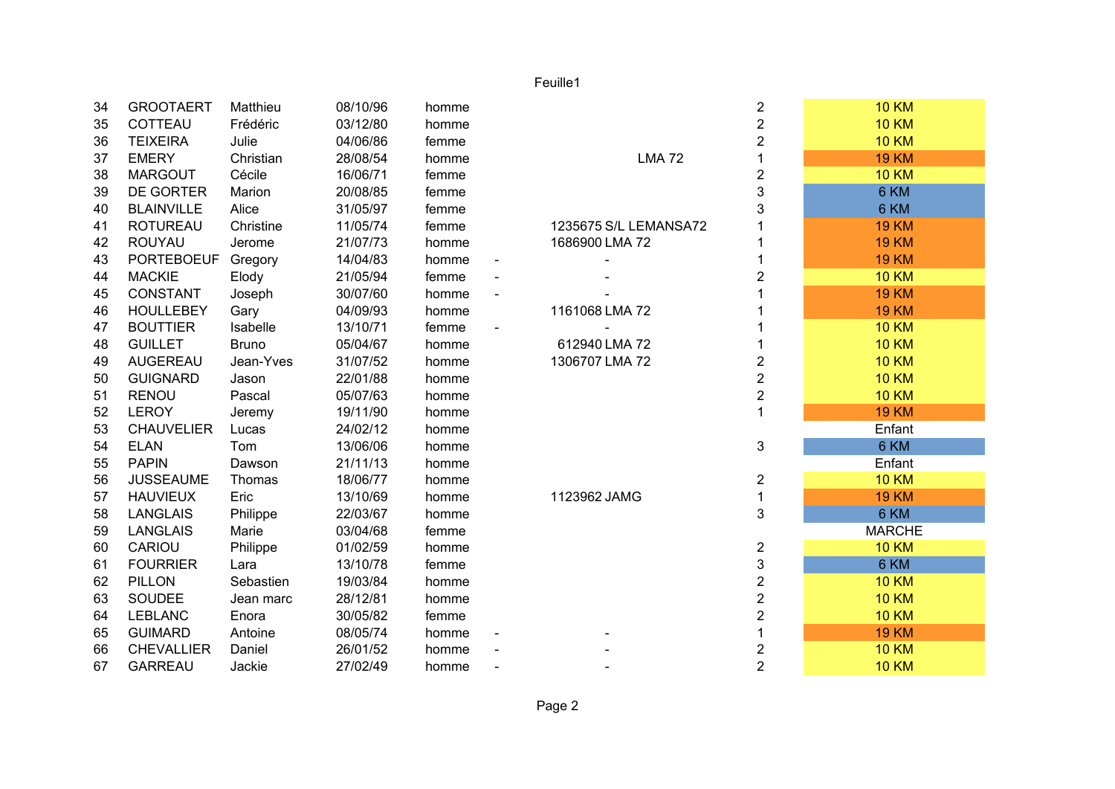## Feuille1

| 34 | <b>GROOTAERT</b>  | Matthieu     | 08/10/96 | homme |                       | $\overline{c}$ | <b>10 KM</b>  |
|----|-------------------|--------------|----------|-------|-----------------------|----------------|---------------|
| 35 | COTTEAU           | Frédéric     | 03/12/80 | homme |                       | $\overline{2}$ | <b>10 KM</b>  |
| 36 | <b>TEIXEIRA</b>   | Julie        | 04/06/86 | femme |                       | $\overline{2}$ | <b>10 KM</b>  |
| 37 | <b>EMERY</b>      | Christian    | 28/08/54 | homme | <b>LMA72</b>          |                | <b>19 KM</b>  |
| 38 | <b>MARGOUT</b>    | Cécile       | 16/06/71 | femme |                       | $\overline{c}$ | <b>10 KM</b>  |
| 39 | <b>DE GORTER</b>  | Marion       | 20/08/85 | femme |                       | 3              | 6 KM          |
| 40 | <b>BLAINVILLE</b> | Alice        | 31/05/97 | femme |                       | 3              | 6 KM          |
| 41 | <b>ROTUREAU</b>   | Christine    | 11/05/74 | femme | 1235675 S/L LEMANSA72 |                | <b>19 KM</b>  |
| 42 | <b>ROUYAU</b>     | Jerome       | 21/07/73 | homme | 1686900 LMA 72        |                | <b>19 KM</b>  |
| 43 | <b>PORTEBOEUF</b> | Gregory      | 14/04/83 | homme |                       |                | <b>19 KM</b>  |
| 44 | <b>MACKIE</b>     | Elody        | 21/05/94 | femme |                       | $\overline{2}$ | <b>10 KM</b>  |
| 45 | <b>CONSTANT</b>   | Joseph       | 30/07/60 | homme |                       |                | <b>19 KM</b>  |
| 46 | <b>HOULLEBEY</b>  | Gary         | 04/09/93 | homme | 1161068 LMA 72        |                | <b>19 KM</b>  |
| 47 | <b>BOUTTIER</b>   | Isabelle     | 13/10/71 | femme |                       |                | <b>10 KM</b>  |
| 48 | <b>GUILLET</b>    | <b>Bruno</b> | 05/04/67 | homme | 612940 LMA 72         |                | <b>10 KM</b>  |
| 49 | AUGEREAU          | Jean-Yves    | 31/07/52 | homme | 1306707 LMA 72        | $\overline{2}$ | <b>10 KM</b>  |
| 50 | <b>GUIGNARD</b>   | Jason        | 22/01/88 | homme |                       | $\overline{2}$ | <b>10 KM</b>  |
| 51 | <b>RENOU</b>      | Pascal       | 05/07/63 | homme |                       | $\overline{2}$ | <b>10 KM</b>  |
| 52 | <b>LEROY</b>      | Jeremy       | 19/11/90 | homme |                       |                | <b>19 KM</b>  |
| 53 | <b>CHAUVELIER</b> | Lucas        | 24/02/12 | homme |                       |                | Enfant        |
| 54 | <b>ELAN</b>       | Tom          | 13/06/06 | homme |                       | 3              | 6 KM          |
| 55 | <b>PAPIN</b>      | Dawson       | 21/11/13 | homme |                       |                | Enfant        |
| 56 | <b>JUSSEAUME</b>  | Thomas       | 18/06/77 | homme |                       | $\overline{c}$ | <b>10 KM</b>  |
| 57 | <b>HAUVIEUX</b>   | Eric         | 13/10/69 | homme | 1123962 JAMG          | 1              | <b>19 KM</b>  |
| 58 | <b>LANGLAIS</b>   | Philippe     | 22/03/67 | homme |                       | 3              | 6 KM          |
| 59 | <b>LANGLAIS</b>   | Marie        | 03/04/68 | femme |                       |                | <b>MARCHE</b> |
| 60 | CARIOU            | Philippe     | 01/02/59 | homme |                       | $\overline{2}$ | <b>10 KM</b>  |
| 61 | <b>FOURRIER</b>   | Lara         | 13/10/78 | femme |                       | 3              | 6 KM          |
| 62 | <b>PILLON</b>     | Sebastien    | 19/03/84 | homme |                       | $\overline{2}$ | <b>10 KM</b>  |
| 63 | <b>SOUDEE</b>     | Jean marc    | 28/12/81 | homme |                       | $\overline{2}$ | <b>10 KM</b>  |
| 64 | <b>LEBLANC</b>    | Enora        | 30/05/82 | femme |                       | $\overline{2}$ | <b>10 KM</b>  |
| 65 | <b>GUIMARD</b>    | Antoine      | 08/05/74 | homme |                       |                | <b>19 KM</b>  |
| 66 | <b>CHEVALLIER</b> | Daniel       | 26/01/52 | homme |                       | $\overline{c}$ | <b>10 KM</b>  |
| 67 | <b>GARREAU</b>    | Jackie       | 27/02/49 | homme |                       | $\overline{2}$ | <b>10 KM</b>  |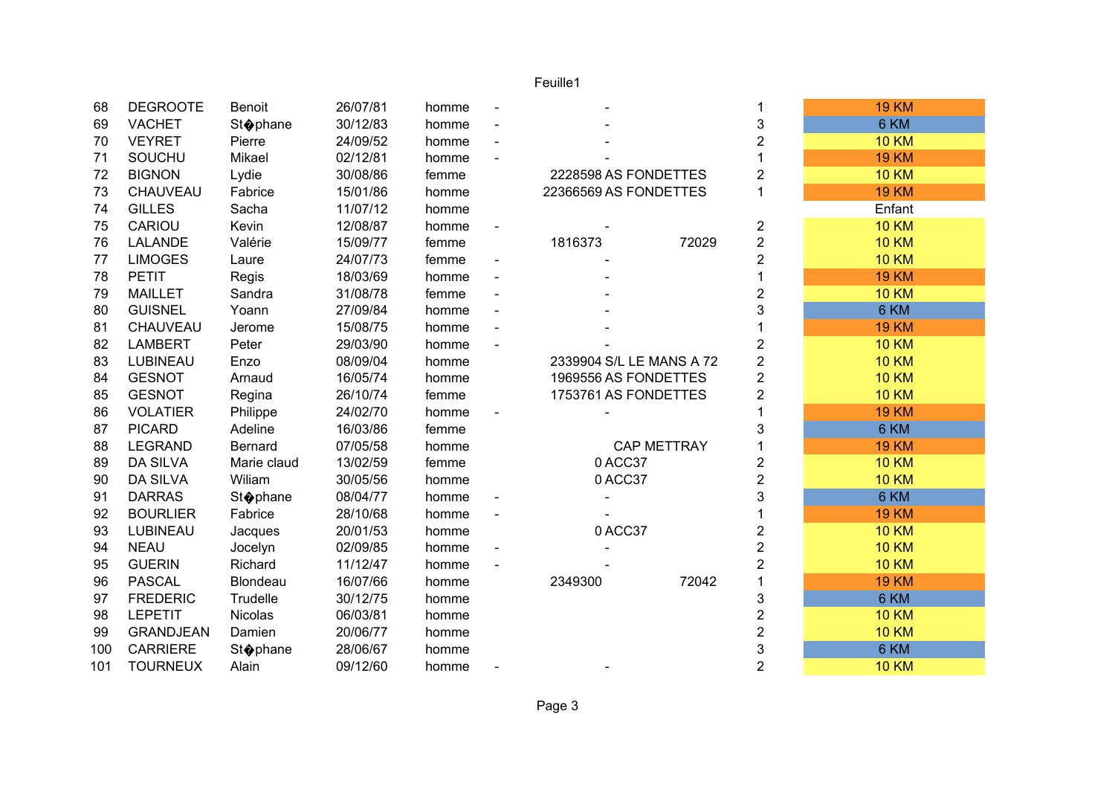## Feuille1

| 68  | <b>DEGROOTE</b>  | Benoit            | 26/07/81 | homme |                          |                    | 1              | <b>19 KM</b> |
|-----|------------------|-------------------|----------|-------|--------------------------|--------------------|----------------|--------------|
| 69  | <b>VACHET</b>    | <b>St</b> ophane  | 30/12/83 | homme |                          |                    | 3              | 6 KM         |
| 70  | <b>VEYRET</b>    | Pierre            | 24/09/52 | homme |                          |                    | $\overline{2}$ | <b>10 KM</b> |
| 71  | <b>SOUCHU</b>    | Mikael            | 02/12/81 | homme |                          |                    | 1              | <b>19 KM</b> |
| 72  | <b>BIGNON</b>    | Lydie             | 30/08/86 | femme | 2228598 AS FONDETTES     |                    | $\overline{2}$ | <b>10 KM</b> |
| 73  | CHAUVEAU         | Fabrice           | 15/01/86 | homme | 22366569 AS FONDETTES    |                    | 1              | <b>19 KM</b> |
| 74  | <b>GILLES</b>    | Sacha             | 11/07/12 | homme |                          |                    |                | Enfant       |
| 75  | CARIOU           | Kevin             | 12/08/87 | homme |                          |                    | $\overline{c}$ | <b>10 KM</b> |
| 76  | <b>LALANDE</b>   | Valérie           | 15/09/77 | femme | 1816373                  | 72029              | $\overline{c}$ | <b>10 KM</b> |
| 77  | <b>LIMOGES</b>   | Laure             | 24/07/73 | femme |                          |                    | $\overline{2}$ | <b>10 KM</b> |
| 78  | <b>PETIT</b>     | Regis             | 18/03/69 | homme |                          |                    |                | <b>19 KM</b> |
| 79  | <b>MAILLET</b>   | Sandra            | 31/08/78 | femme |                          |                    | $\overline{c}$ | <b>10 KM</b> |
| 80  | <b>GUISNEL</b>   | Yoann             | 27/09/84 | homme |                          |                    | 3              | 6 KM         |
| 81  | CHAUVEAU         | Jerome            | 15/08/75 | homme |                          |                    |                | <b>19 KM</b> |
| 82  | <b>LAMBERT</b>   | Peter             | 29/03/90 | homme |                          |                    | 2              | <b>10 KM</b> |
| 83  | LUBINEAU         | Enzo              | 08/09/04 | homme | 2339904 S/L LE MANS A 72 |                    | $\overline{c}$ | <b>10 KM</b> |
| 84  | <b>GESNOT</b>    | Arnaud            | 16/05/74 | homme | 1969556 AS FONDETTES     |                    | $\overline{2}$ | <b>10 KM</b> |
| 85  | <b>GESNOT</b>    | Regina            | 26/10/74 | femme | 1753761 AS FONDETTES     |                    | 2              | <b>10 KM</b> |
| 86  | <b>VOLATIER</b>  | Philippe          | 24/02/70 | homme |                          |                    |                | <b>19 KM</b> |
| 87  | <b>PICARD</b>    | Adeline           | 16/03/86 | femme |                          |                    | 3              | 6 KM         |
| 88  | <b>LEGRAND</b>   | <b>Bernard</b>    | 07/05/58 | homme |                          | <b>CAP METTRAY</b> |                | <b>19 KM</b> |
| 89  | <b>DA SILVA</b>  | Marie claud       | 13/02/59 | femme | 0ACC37                   |                    | 2              | <b>10 KM</b> |
| 90  | <b>DA SILVA</b>  | Wiliam            | 30/05/56 | homme | 0ACC37                   |                    | $\overline{2}$ | <b>10 KM</b> |
| 91  | <b>DARRAS</b>    | Stophane          | 08/04/77 | homme |                          |                    | 3              | 6 KM         |
| 92  | <b>BOURLIER</b>  | Fabrice           | 28/10/68 | homme |                          |                    |                | <b>19 KM</b> |
| 93  | LUBINEAU         | Jacques           | 20/01/53 | homme | 0ACC37                   |                    | 2              | <b>10 KM</b> |
| 94  | <b>NEAU</b>      | Jocelyn           | 02/09/85 | homme |                          |                    | $\overline{2}$ | <b>10 KM</b> |
| 95  | <b>GUERIN</b>    | Richard           | 11/12/47 | homme |                          |                    | $\overline{2}$ | <b>10 KM</b> |
| 96  | <b>PASCAL</b>    | <b>Blondeau</b>   | 16/07/66 | homme | 2349300                  | 72042              | 1              | <b>19 KM</b> |
| 97  | <b>FREDERIC</b>  | Trudelle          | 30/12/75 | homme |                          |                    | 3              | 6 KM         |
| 98  | <b>LEPETIT</b>   | <b>Nicolas</b>    | 06/03/81 | homme |                          |                    | $\overline{c}$ | <b>10 KM</b> |
| 99  | <b>GRANDJEAN</b> | Damien            | 20/06/77 | homme |                          |                    | $\overline{c}$ | <b>10 KM</b> |
| 100 | <b>CARRIERE</b>  | St <b>o</b> phane | 28/06/67 | homme |                          |                    | 3              | 6 KM         |
| 101 | <b>TOURNEUX</b>  | Alain             | 09/12/60 | homme |                          |                    | $\overline{2}$ | <b>10 KM</b> |
|     |                  |                   |          |       |                          |                    |                |              |